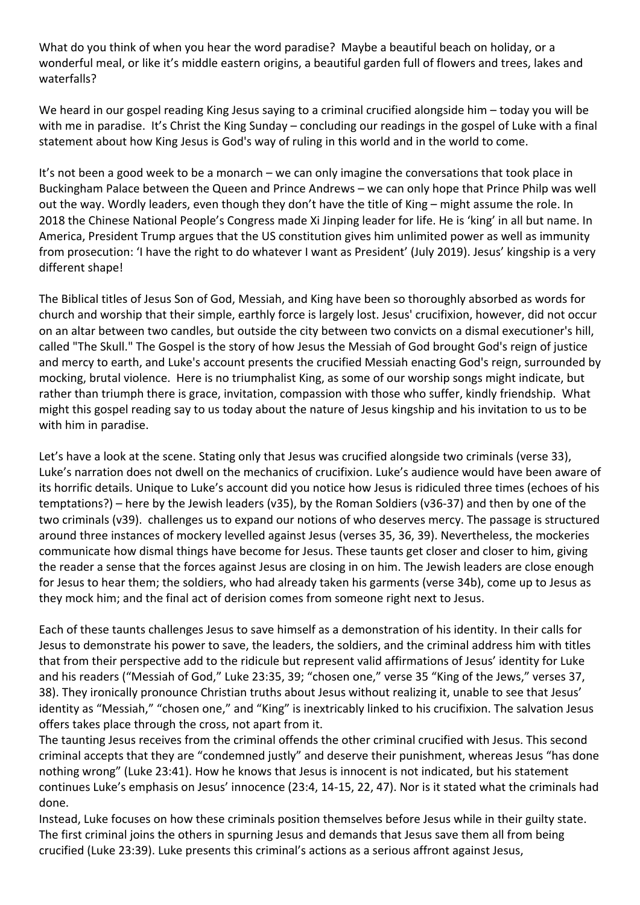What do you think of when you hear the word paradise? Maybe a beautiful beach on holiday, or a wonderful meal, or like it's middle eastern origins, a beautiful garden full of flowers and trees, lakes and waterfalls?

We heard in our gospel reading King Jesus saying to a criminal crucified alongside him – today you will be with me in paradise. It's Christ the King Sunday – concluding our readings in the gospel of Luke with a final statement about how King Jesus is God's way of ruling in this world and in the world to come.

It's not been a good week to be a monarch – we can only imagine the conversations that took place in Buckingham Palace between the Queen and Prince Andrews – we can only hope that Prince Philp was well out the way. Wordly leaders, even though they don't have the title of King – might assume the role. In 2018 the Chinese National People's Congress made Xi Jinping leader for life. He is 'king' in all but name. In America, President Trump argues that the US constitution gives him unlimited power as well as immunity from prosecution: 'I have the right to do whatever I want as President' (July 2019). Jesus' kingship is a very different shape!

The Biblical titles of Jesus Son of God, Messiah, and King have been so thoroughly absorbed as words for church and worship that their simple, earthly force is largely lost. Jesus' crucifixion, however, did not occur on an altar between two candles, but outside the city between two convicts on a dismal executioner's hill, called "The Skull." The Gospel is the story of how Jesus the Messiah of God brought God's reign of justice and mercy to earth, and Luke's account presents the crucified Messiah enacting God's reign, surrounded by mocking, brutal violence. Here is no triumphalist King, as some of our worship songs might indicate, but rather than triumph there is grace, invitation, compassion with those who suffer, kindly friendship. What might this gospel reading say to us today about the nature of Jesus kingship and his invitation to us to be with him in paradise.

Let's have a look at the scene. Stating only that Jesus was crucified alongside two criminals (verse 33), Luke's narration does not dwell on the mechanics of crucifixion. Luke's audience would have been aware of its horrific details. Unique to Luke's account did you notice how Jesus is ridiculed three times (echoes of his temptations?) – here by the Jewish leaders (v35), by the Roman Soldiers (v36-37) and then by one of the two criminals (v39). challenges us to expand our notions of who deserves mercy. The passage is structured around three instances of mockery levelled against Jesus (verses 35, 36, 39). Nevertheless, the mockeries communicate how dismal things have become for Jesus. These taunts get closer and closer to him, giving the reader a sense that the forces against Jesus are closing in on him. The Jewish leaders are close enough for Jesus to hear them; the soldiers, who had already taken his garments (verse 34b), come up to Jesus as they mock him; and the final act of derision comes from someone right next to Jesus.

Each of these taunts challenges Jesus to save himself as a demonstration of his identity. In their calls for Jesus to demonstrate his power to save, the leaders, the soldiers, and the criminal address him with titles that from their perspective add to the ridicule but represent valid affirmations of Jesus' identity for Luke and his readers ("Messiah of God," Luke 23:35, 39; "chosen one," verse 35 "King of the Jews," verses 37, 38). They ironically pronounce Christian truths about Jesus without realizing it, unable to see that Jesus' identity as "Messiah," "chosen one," and "King" is inextricably linked to his crucifixion. The salvation Jesus offers takes place through the cross, not apart from it.

The taunting Jesus receives from the criminal offends the other criminal crucified with Jesus. This second criminal accepts that they are "condemned justly" and deserve their punishment, whereas Jesus "has done nothing wrong" (Luke 23:41). How he knows that Jesus is innocent is not indicated, but his statement continues Luke's emphasis on Jesus' innocence (23:4, 14-15, 22, 47). Nor is it stated what the criminals had done.

Instead, Luke focuses on how these criminals position themselves before Jesus while in their guilty state. The first criminal joins the others in spurning Jesus and demands that Jesus save them all from being crucified (Luke 23:39). Luke presents this criminal's actions as a serious affront against Jesus,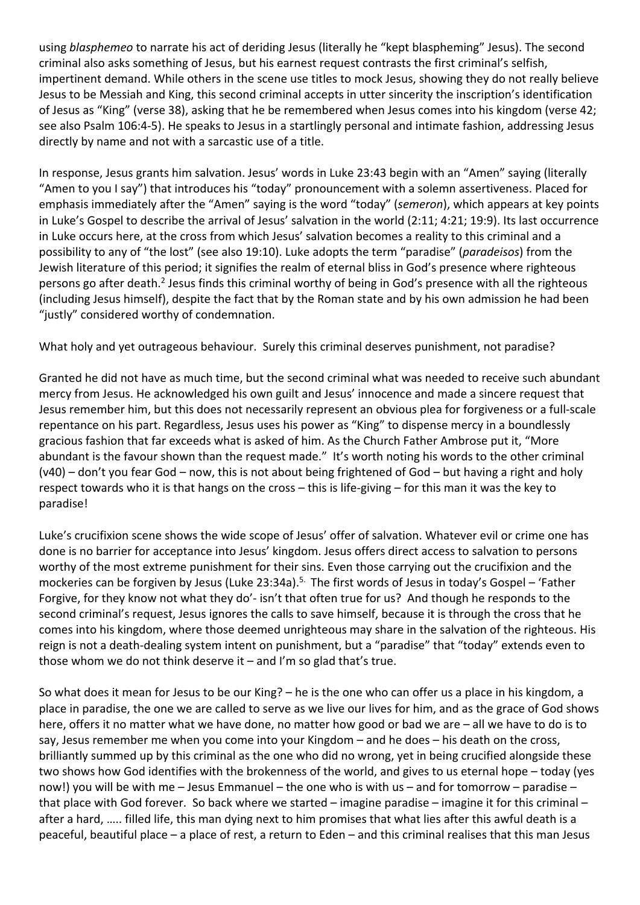using *blasphemeo* to narrate his act of deriding Jesus (literally he "kept blaspheming" Jesus). The second criminal also asks something of Jesus, but his earnest request contrasts the first criminal's selfish, impertinent demand. While others in the scene use titles to mock Jesus, showing they do not really believe Jesus to be Messiah and King, this second criminal accepts in utter sincerity the inscription's identification of Jesus as "King" (verse 38), asking that he be remembered when Jesus comes into his kingdom (verse 42; see also Psalm 106:4-5). He speaks to Jesus in a startlingly personal and intimate fashion, addressing Jesus directly by name and not with a sarcastic use of a title.

In response, Jesus grants him salvation. Jesus' words in Luke 23:43 begin with an "Amen" saying (literally "Amen to you I say") that introduces his "today" pronouncement with a solemn assertiveness. Placed for emphasis immediately after the "Amen" saying is the word "today" (*semeron*), which appears at key points in Luke's Gospel to describe the arrival of Jesus' salvation in the world (2:11; 4:21; 19:9). Its last occurrence in Luke occurs here, at the cross from which Jesus' salvation becomes a reality to this criminal and a possibility to any of "the lost" (see also 19:10). Luke adopts the term "paradise" (*paradeisos*) from the Jewish literature of this period; it signifies the realm of eternal bliss in God's presence where righteous persons go after death.<sup>2</sup> Jesus finds this criminal worthy of being in God's presence with all the righteous (including Jesus himself), despite the fact that by the Roman state and by his own admission he had been "justly" considered worthy of condemnation.

What holy and yet outrageous behaviour. Surely this criminal deserves punishment, not paradise?

Granted he did not have as much time, but the second criminal what was needed to receive such abundant mercy from Jesus. He acknowledged his own guilt and Jesus' innocence and made a sincere request that Jesus remember him, but this does not necessarily represent an obvious plea for forgiveness or a full-scale repentance on his part. Regardless, Jesus uses his power as "King" to dispense mercy in a boundlessly gracious fashion that far exceeds what is asked of him. As the Church Father Ambrose put it, "More abundant is the favour shown than the request made." It's worth noting his words to the other criminal (v40) – don't you fear God – now, this is not about being frightened of God – but having a right and holy respect towards who it is that hangs on the cross – this is life-giving – for this man it was the key to paradise!

Luke's crucifixion scene shows the wide scope of Jesus' offer of salvation. Whatever evil or crime one has done is no barrier for acceptance into Jesus' kingdom. Jesus offers direct access to salvation to persons worthy of the most extreme punishment for their sins. Even those carrying out the crucifixion and the mockeries can be forgiven by Jesus (Luke 23:34a).<sup>5.</sup> The first words of Jesus in today's Gospel – 'Father Forgive, for they know not what they do'- isn't that often true for us? And though he responds to the second criminal's request, Jesus ignores the calls to save himself, because it is through the cross that he comes into his kingdom, where those deemed unrighteous may share in the salvation of the righteous. His reign is not a death-dealing system intent on punishment, but a "paradise" that "today" extends even to those whom we do not think deserve it  $-$  and I'm so glad that's true.

So what does it mean for Jesus to be our King? – he is the one who can offer us a place in his kingdom, a place in paradise, the one we are called to serve as we live our lives for him, and as the grace of God shows here, offers it no matter what we have done, no matter how good or bad we are – all we have to do is to say, Jesus remember me when you come into your Kingdom – and he does – his death on the cross, brilliantly summed up by this criminal as the one who did no wrong, yet in being crucified alongside these two shows how God identifies with the brokenness of the world, and gives to us eternal hope – today (yes now!) you will be with me – Jesus Emmanuel – the one who is with us – and for tomorrow – paradise – that place with God forever. So back where we started – imagine paradise – imagine it for this criminal – after a hard, ….. filled life, this man dying next to him promises that what lies after this awful death is a peaceful, beautiful place – a place of rest, a return to Eden – and this criminal realises that this man Jesus